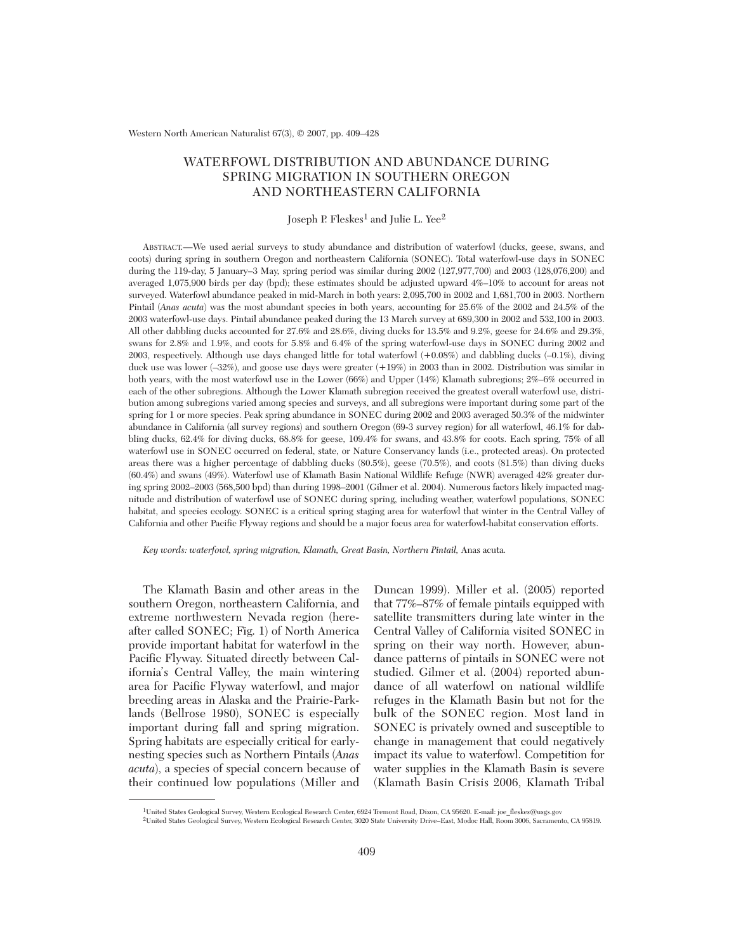Western North American Naturalist 67(3), © 2007, pp. 409–428

# WATERFOWL DISTRIBUTION AND ABUNDANCE DURING SPRING MIGRATION IN SOUTHERN OREGON AND NORTHEASTERN CALIFORNIA

# Joseph P. Fleskes<sup>1</sup> and Julie L. Yee<sup>2</sup>

ABSTRACT.—We used aerial surveys to study abundance and distribution of waterfowl (ducks, geese, swans, and coots) during spring in southern Oregon and northeastern California (SONEC). Total waterfowl-use days in SONEC during the 119-day, 5 January–3 May, spring period was similar during 2002 (127,977,700) and 2003 (128,076,200) and averaged 1,075,900 birds per day (bpd); these estimates should be adjusted upward 4%–10% to account for areas not surveyed. Waterfowl abundance peaked in mid-March in both years: 2,095,700 in 2002 and 1,681,700 in 2003. Northern Pintail (*Anas acuta*) was the most abundant species in both years, accounting for 25.6% of the 2002 and 24.5% of the 2003 waterfowl-use days. Pintail abundance peaked during the 13 March survey at 689,300 in 2002 and 532,100 in 2003. All other dabbling ducks accounted for 27.6% and 28.6%, diving ducks for 13.5% and 9.2%, geese for 24.6% and 29.3%, swans for 2.8% and 1.9%, and coots for 5.8% and 6.4% of the spring waterfowl-use days in SONEC during 2002 and 2003, respectively. Although use days changed little for total waterfowl (+0.08%) and dabbling ducks (–0.1%), diving duck use was lower (-32%), and goose use days were greater (+19%) in 2003 than in 2002. Distribution was similar in both years, with the most waterfowl use in the Lower (66%) and Upper (14%) Klamath subregions; 2%–6% occurred in each of the other subregions. Although the Lower Klamath subregion received the greatest overall waterfowl use, distribution among subregions varied among species and surveys, and all subregions were important during some part of the spring for 1 or more species. Peak spring abundance in SONEC during 2002 and 2003 averaged 50.3% of the midwinter abundance in California (all survey regions) and southern Oregon (69-3 survey region) for all waterfowl, 46.1% for dabbling ducks, 62.4% for diving ducks, 68.8% for geese, 109.4% for swans, and 43.8% for coots. Each spring, 75% of all waterfowl use in SONEC occurred on federal, state, or Nature Conservancy lands (i.e., protected areas). On protected areas there was a higher percentage of dabbling ducks (80.5%), geese (70.5%), and coots (81.5%) than diving ducks (60.4%) and swans (49%). Waterfowl use of Klamath Basin National Wildlife Refuge (NWR) averaged 42% greater during spring 2002–2003 (568,500 bpd) than during 1998–2001 (Gilmer et al. 2004). Numerous factors likely impacted magnitude and distribution of waterfowl use of SONEC during spring, including weather, waterfowl populations, SONEC habitat, and species ecology. SONEC is a critical spring staging area for waterfowl that winter in the Central Valley of California and other Pacific Flyway regions and should be a major focus area for waterfowl-habitat conservation efforts.

*Key words: waterfowl, spring migration, Klamath, Great Basin, Northern Pintail,* Anas acuta.

The Klamath Basin and other areas in the southern Oregon, northeastern California, and extreme northwestern Nevada region (hereafter called SONEC; Fig. 1) of North America provide important habitat for waterfowl in the Pacific Flyway. Situated directly between California's Central Valley, the main wintering area for Pacific Flyway waterfowl, and major breeding areas in Alaska and the Prairie-Parklands (Bellrose 1980), SONEC is especially important during fall and spring migration. Spring habitats are especially critical for earlynesting species such as Northern Pintails (*Anas acuta*), a species of special concern because of their continued low populations (Miller and

Duncan 1999). Miller et al. (2005) reported that 77%–87% of female pintails equipped with satellite transmitters during late winter in the Central Valley of California visited SONEC in spring on their way north. However, abundance patterns of pintails in SONEC were not studied. Gilmer et al. (2004) reported abundance of all waterfowl on national wildlife refuges in the Klamath Basin but not for the bulk of the SONEC region. Most land in SONEC is privately owned and susceptible to change in management that could negatively impact its value to waterfowl. Competition for water supplies in the Klamath Basin is severe (Klamath Basin Crisis 2006, Klamath Tribal

<sup>1</sup>United States Geological Survey, Western Ecological Research Center, 6924 Tremont Road, Dixon, CA 95620. E-mail: joe\_fleskes@usgs.gov

<sup>2</sup>United States Geological Survey, Western Ecological Research Center, 3020 State University Drive–East, Modoc Hall, Room 3006, Sacramento, CA 95819.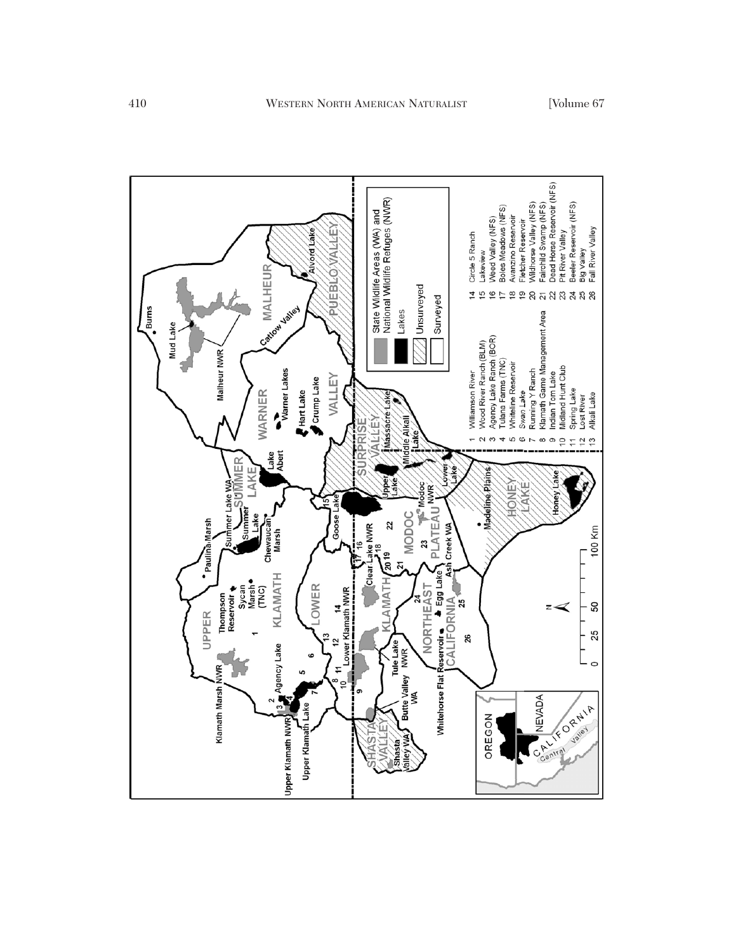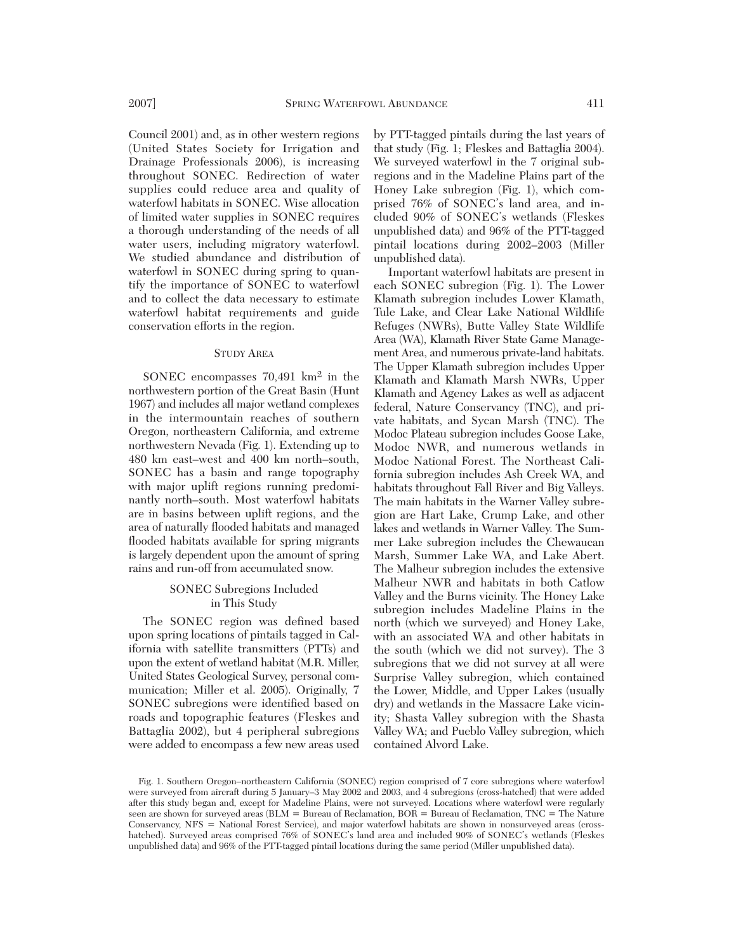Council 2001) and, as in other western regions (United States Society for Irrigation and Drainage Professionals 2006), is increasing throughout SONEC. Redirection of water supplies could reduce area and quality of waterfowl habitats in SONEC. Wise allocation of limited water supplies in SONEC requires a thorough understanding of the needs of all water users, including migratory waterfowl. We studied abundance and distribution of waterfowl in SONEC during spring to quantify the importance of SONEC to waterfowl and to collect the data necessary to estimate waterfowl habitat requirements and guide conservation efforts in the region.

#### STUDY AREA

SONEC encompasses 70,491 km2 in the northwestern portion of the Great Basin (Hunt 1967) and includes all major wetland complexes in the intermountain reaches of southern Oregon, northeastern California, and extreme northwestern Nevada (Fig. 1). Extending up to 480 km east–west and 400 km north–south, SONEC has a basin and range topography with major uplift regions running predominantly north–south. Most waterfowl habitats are in basins between uplift regions, and the area of naturally flooded habitats and managed flooded habitats available for spring migrants is largely dependent upon the amount of spring rains and run-off from accumulated snow.

# SONEC Subregions Included in This Study

The SONEC region was defined based upon spring locations of pintails tagged in California with satellite transmitters (PTTs) and upon the extent of wetland habitat (M.R. Miller, United States Geological Survey, personal communication; Miller et al. 2005). Originally, 7 SONEC subregions were identified based on roads and topographic features (Fleskes and Battaglia 2002), but 4 peripheral subregions were added to encompass a few new areas used by PTT-tagged pintails during the last years of that study (Fig. 1; Fleskes and Battaglia 2004). We surveyed waterfowl in the 7 original subregions and in the Madeline Plains part of the Honey Lake subregion (Fig. 1), which comprised 76% of SONEC's land area, and included 90% of SONEC's wetlands (Fleskes unpublished data) and 96% of the PTT-tagged pintail locations during 2002–2003 (Miller unpublished data).

Important waterfowl habitats are present in each SONEC subregion (Fig. 1). The Lower Klamath subregion includes Lower Klamath, Tule Lake, and Clear Lake National Wildlife Refuges (NWRs), Butte Valley State Wildlife Area (WA), Klamath River State Game Management Area, and numerous private-land habitats. The Upper Klamath subregion includes Upper Klamath and Klamath Marsh NWRs, Upper Klamath and Agency Lakes as well as adjacent federal, Nature Conservancy (TNC), and private habitats, and Sycan Marsh (TNC). The Modoc Plateau subregion includes Goose Lake, Modoc NWR, and numerous wetlands in Modoc National Forest. The Northeast California subregion includes Ash Creek WA, and habitats throughout Fall River and Big Valleys. The main habitats in the Warner Valley subregion are Hart Lake, Crump Lake, and other lakes and wetlands in Warner Valley. The Summer Lake subregion includes the Chewaucan Marsh, Summer Lake WA, and Lake Abert. The Malheur subregion includes the extensive Malheur NWR and habitats in both Catlow Valley and the Burns vicinity. The Honey Lake subregion includes Madeline Plains in the north (which we surveyed) and Honey Lake, with an associated WA and other habitats in the south (which we did not survey). The 3 subregions that we did not survey at all were Surprise Valley subregion, which contained the Lower, Middle, and Upper Lakes (usually dry) and wetlands in the Massacre Lake vicinity; Shasta Valley subregion with the Shasta Valley WA; and Pueblo Valley subregion, which contained Alvord Lake.

Fig. 1. Southern Oregon–northeastern California (SONEC) region comprised of 7 core subregions where waterfowl were surveyed from aircraft during 5 January–3 May 2002 and 2003, and 4 subregions (cross-hatched) that were added after this study began and, except for Madeline Plains, were not surveyed. Locations where waterfowl were regularly seen are shown for surveyed areas (BLM = Bureau of Reclamation, BOR = Bureau of Reclamation, TNC = The Nature Conservancy, NFS = National Forest Service), and major waterfowl habitats are shown in nonsurveyed areas (crosshatched). Surveyed areas comprised 76% of SONEC's land area and included 90% of SONEC's wetlands (Fleskes unpublished data) and 96% of the PTT-tagged pintail locations during the same period (Miller unpublished data).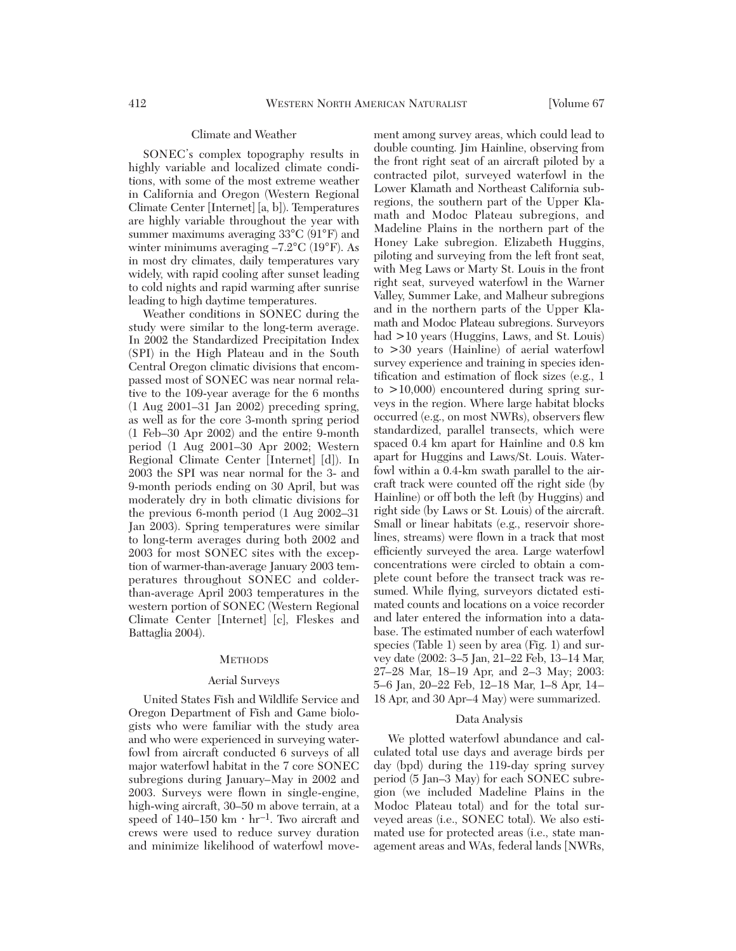#### Climate and Weather

SONEC's complex topography results in highly variable and localized climate conditions, with some of the most extreme weather in California and Oregon (Western Regional Climate Center [Internet] [a, b]). Temperatures are highly variable throughout the year with summer maximums averaging 33°C (91°F) and winter minimums averaging –7.2°C (19°F). As in most dry climates, daily temperatures vary widely, with rapid cooling after sunset leading to cold nights and rapid warming after sunrise leading to high daytime temperatures.

Weather conditions in SONEC during the study were similar to the long-term average. In 2002 the Standardized Precipitation Index (SPI) in the High Plateau and in the South Central Oregon climatic divisions that encompassed most of SONEC was near normal relative to the 109-year average for the 6 months (1 Aug 2001–31 Jan 2002) preceding spring, as well as for the core 3-month spring period (1 Feb–30 Apr 2002) and the entire 9-month period (1 Aug 2001–30 Apr 2002; Western Regional Climate Center [Internet] [d]). In 2003 the SPI was near normal for the 3- and 9-month periods ending on 30 April, but was moderately dry in both climatic divisions for the previous 6-month period (1 Aug 2002–31 Jan 2003). Spring temperatures were similar to long-term averages during both 2002 and 2003 for most SONEC sites with the exception of warmer-than-average January 2003 temperatures throughout SONEC and colderthan-average April 2003 temperatures in the western portion of SONEC (Western Regional Climate Center [Internet] [c], Fleskes and Battaglia 2004).

# **METHODS**

#### Aerial Surveys

United States Fish and Wildlife Service and Oregon Department of Fish and Game biologists who were familiar with the study area and who were experienced in surveying waterfowl from aircraft conducted 6 surveys of all major waterfowl habitat in the 7 core SONEC subregions during January*–*May in 2002 and 2003. Surveys were flown in single-engine, high-wing aircraft, 30*–*50 m above terrain, at a speed of  $140-150 \text{ km} \cdot \text{hr}^{-1}$ . Two aircraft and crews were used to reduce survey duration and minimize likelihood of waterfowl movement among survey areas, which could lead to double counting. Jim Hainline, observing from the front right seat of an aircraft piloted by a contracted pilot, surveyed waterfowl in the Lower Klamath and Northeast California subregions, the southern part of the Upper Klamath and Modoc Plateau subregions, and Madeline Plains in the northern part of the Honey Lake subregion. Elizabeth Huggins, piloting and surveying from the left front seat, with Meg Laws or Marty St. Louis in the front right seat, surveyed waterfowl in the Warner Valley, Summer Lake, and Malheur subregions and in the northern parts of the Upper Klamath and Modoc Plateau subregions. Surveyors had >10 years (Huggins, Laws, and St. Louis) to >30 years (Hainline) of aerial waterfowl survey experience and training in species identification and estimation of flock sizes (e.g., 1 to  $>10,000$  encountered during spring surveys in the region. Where large habitat blocks occurred (e.g., on most NWRs), observers flew standardized, parallel transects, which were spaced 0.4 km apart for Hainline and 0.8 km apart for Huggins and Laws/St. Louis. Waterfowl within a 0.4-km swath parallel to the aircraft track were counted off the right side (by Hainline) or off both the left (by Huggins) and right side (by Laws or St. Louis) of the aircraft. Small or linear habitats (e.g., reservoir shorelines, streams) were flown in a track that most efficiently surveyed the area. Large waterfowl concentrations were circled to obtain a complete count before the transect track was resumed. While flying, surveyors dictated estimated counts and locations on a voice recorder and later entered the information into a database. The estimated number of each waterfowl species (Table 1) seen by area (Fig. 1) and survey date (2002: 3*–*5 Jan, 21*–*22 Feb, 13*–*14 Mar, 27*–*28 Mar, 18*–*19 Apr, and 2*–*3 May; 2003: 5*–*6 Jan, 20*–*22 Feb, 12*–*18 Mar, 1*–*8 Apr, 14*–* 18 Apr, and 30 Apr*–*4 May) were summarized.

#### Data Analysis

We plotted waterfowl abundance and calculated total use days and average birds per day (bpd) during the 119-day spring survey period (5 Jan–3 May) for each SONEC subregion (we included Madeline Plains in the Modoc Plateau total) and for the total surveyed areas (i.e., SONEC total). We also estimated use for protected areas (i.e., state management areas and WAs, federal lands [NWRs,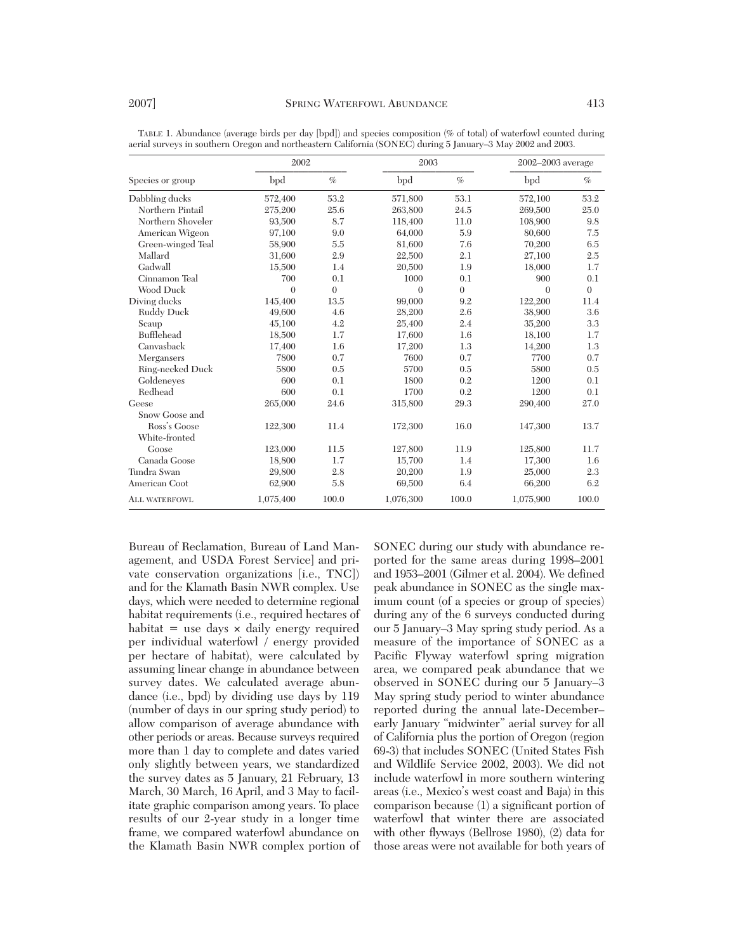| Species or group     | 2002      |                | 2003      |          | 2002-2003 average |                |
|----------------------|-----------|----------------|-----------|----------|-------------------|----------------|
|                      | bpd       | $\%$           | bpd       | $\%$     | bpd               | $\%$           |
| Dabbling ducks       | 572,400   | 53.2           | 571,800   | 53.1     | 572,100           | 53.2           |
| Northern Pintail     | 275,200   | 25.6           | 263,800   | 24.5     | 269,500           | 25.0           |
| Northern Shoveler    | 93,500    | 8.7            | 118,400   | 11.0     | 108,900           | 9.8            |
| American Wigeon      | 97,100    | 9.0            | 64,000    | 5.9      | 80,600            | 7.5            |
| Green-winged Teal    | 58,900    | 5.5            | 81,600    | 7.6      | 70,200            | 6.5            |
| Mallard              | 31,600    | 2.9            | 22,500    | 2.1      | 27,100            | 2.5            |
| Gadwall              | 15,500    | 1.4            | 20,500    | 1.9      | 18,000            | 1.7            |
| Cinnamon Teal        | 700       | 0.1            | 1000      | 0.1      | 900               | 0.1            |
| Wood Duck            | $\theta$  | $\overline{0}$ | $\theta$  | $\theta$ | $\theta$          | $\overline{0}$ |
| Diving ducks         | 145,400   | 13.5           | 99,000    | 9.2      | 122,200           | 11.4           |
| Ruddy Duck           | 49,600    | 4.6            | 28,200    | 2.6      | 38,900            | 3.6            |
| Scaup                | 45,100    | 4.2            | 25,400    | 2.4      | 35,200            | 3.3            |
| Bufflehead           | 18,500    | 1.7            | 17,600    | 1.6      | 18,100            | 1.7            |
| Canvasback           | 17,400    | 1.6            | 17,200    | 1.3      | 14,200            | 1.3            |
| Mergansers           | 7800      | 0.7            | 7600      | 0.7      | 7700              | 0.7            |
| Ring-necked Duck     | 5800      | 0.5            | 5700      | 0.5      | 5800              | 0.5            |
| Goldeneyes           | 600       | 0.1            | 1800      | 0.2      | 1200              | 0.1            |
| Redhead              | 600       | 0.1            | 1700      | 0.2      | 1200              | 0.1            |
| Geese                | 265,000   | 24.6           | 315,800   | 29.3     | 290,400           | 27.0           |
| Snow Goose and       |           |                |           |          |                   |                |
| Ross's Goose         | 122,300   | 11.4           | 172,300   | 16.0     | 147,300           | 13.7           |
| White-fronted        |           |                |           |          |                   |                |
| Goose                | 123,000   | 11.5           | 127,800   | 11.9     | 125,800           | 11.7           |
| Canada Goose         | 18,800    | 1.7            | 15.700    | 1.4      | 17,300            | 1.6            |
| Tundra Swan          | 29,800    | 2.8            | 20,200    | 1.9      | 25,000            | 2.3            |
| American Coot        | 62,900    | 5.8            | 69,500    | 6.4      | 66,200            | 6.2            |
| <b>ALL WATERFOWL</b> | 1,075,400 | 100.0          | 1,076,300 | 100.0    | 1,075,900         | 100.0          |

TABLE 1. Abundance (average birds per day [bpd]) and species composition (% of total) of waterfowl counted during aerial surveys in southern Oregon and northeastern California (SONEC) during 5 January–3 May 2002 and 2003.

Bureau of Reclamation, Bureau of Land Management, and USDA Forest Service] and private conservation organizations [i.e., TNC]) and for the Klamath Basin NWR complex. Use days, which were needed to determine regional habitat requirements (i.e., required hectares of habitat  $=$  use days  $\times$  daily energy required per individual waterfowl / energy provided per hectare of habitat), were calculated by assuming linear change in abundance between survey dates. We calculated average abundance (i.e., bpd) by dividing use days by 119 (number of days in our spring study period) to allow comparison of average abundance with other periods or areas. Because surveys required more than 1 day to complete and dates varied only slightly between years, we standardized the survey dates as 5 January, 21 February, 13 March, 30 March, 16 April, and 3 May to facilitate graphic comparison among years. To place results of our 2-year study in a longer time frame, we compared waterfowl abundance on the Klamath Basin NWR complex portion of SONEC during our study with abundance reported for the same areas during 1998–2001 and 1953–2001 (Gilmer et al. 2004). We defined peak abundance in SONEC as the single maximum count (of a species or group of species) during any of the 6 surveys conducted during our 5 January–3 May spring study period. As a measure of the importance of SONEC as a Pacific Flyway waterfowl spring migration area, we compared peak abundance that we observed in SONEC during our 5 January–3 May spring study period to winter abundance reported during the annual late-December– early January "midwinter" aerial survey for all of California plus the portion of Oregon (region 69-3) that includes SONEC (United States Fish and Wildlife Service 2002, 2003). We did not include waterfowl in more southern wintering areas (i.e., Mexico's west coast and Baja) in this comparison because (1) a significant portion of waterfowl that winter there are associated with other flyways (Bellrose 1980), (2) data for those areas were not available for both years of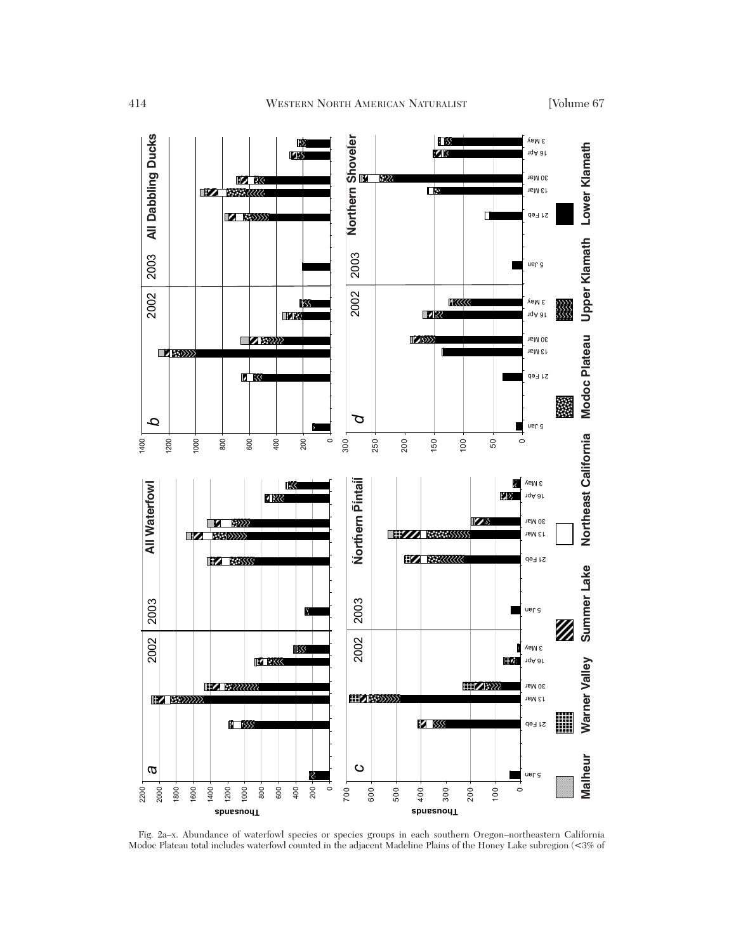

Fig. 2a–x. Abundance of waterfowl species or species groups in each southern Oregon–northeastern California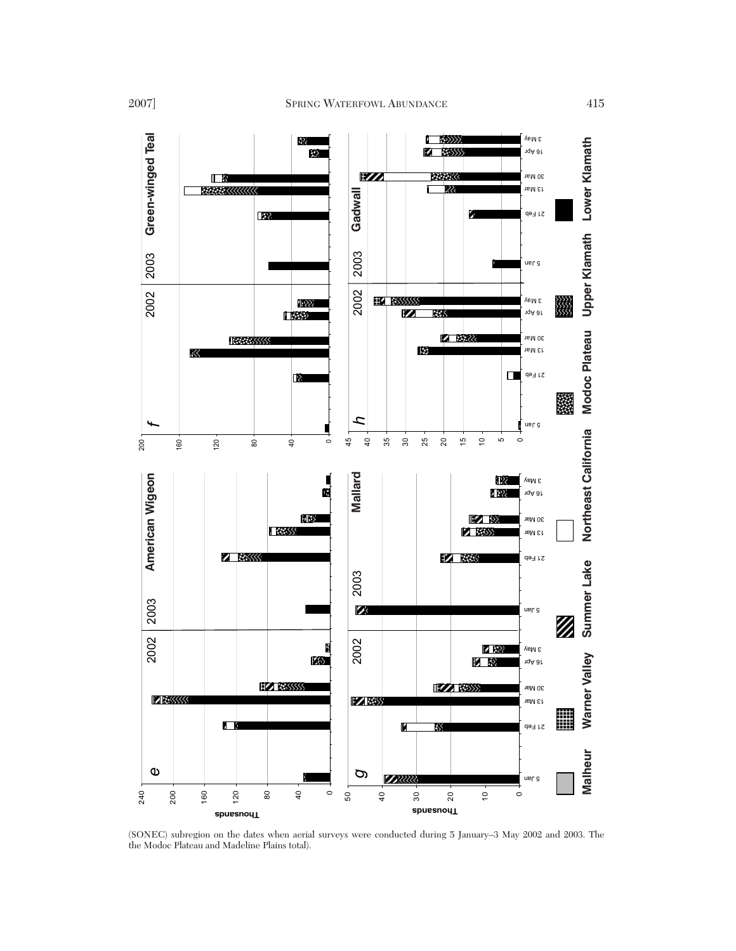

(SONEC) subregion on the dates when aerial surveys were conducted during 5 January–3 May 2002 and 2003. The the Modoc Plateau and Madeline Plains total).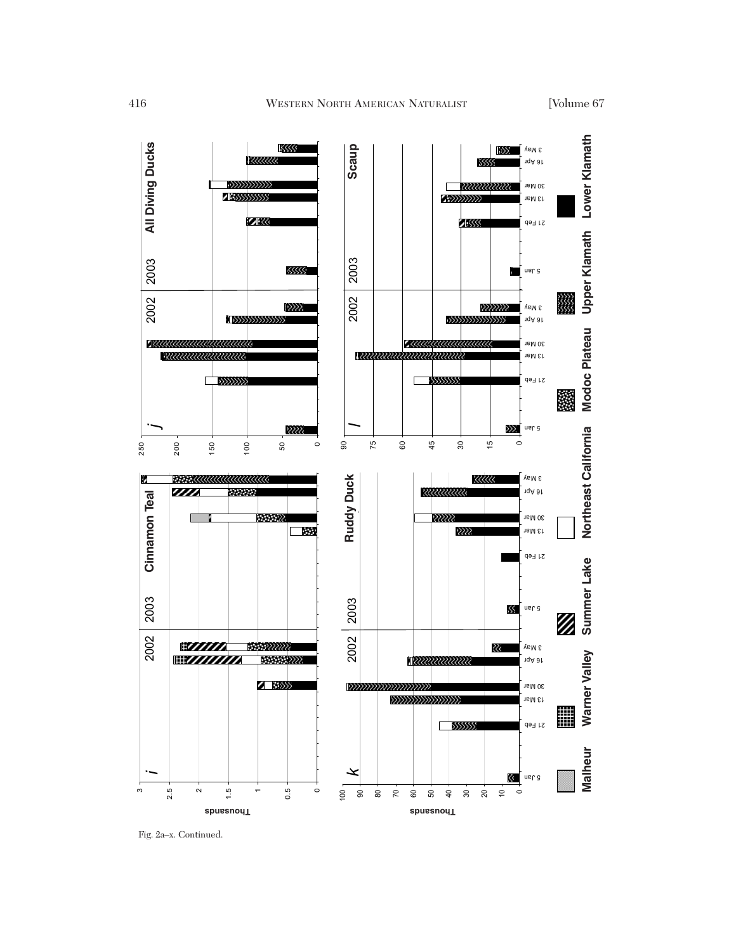

Fig. 2a–x. Continued.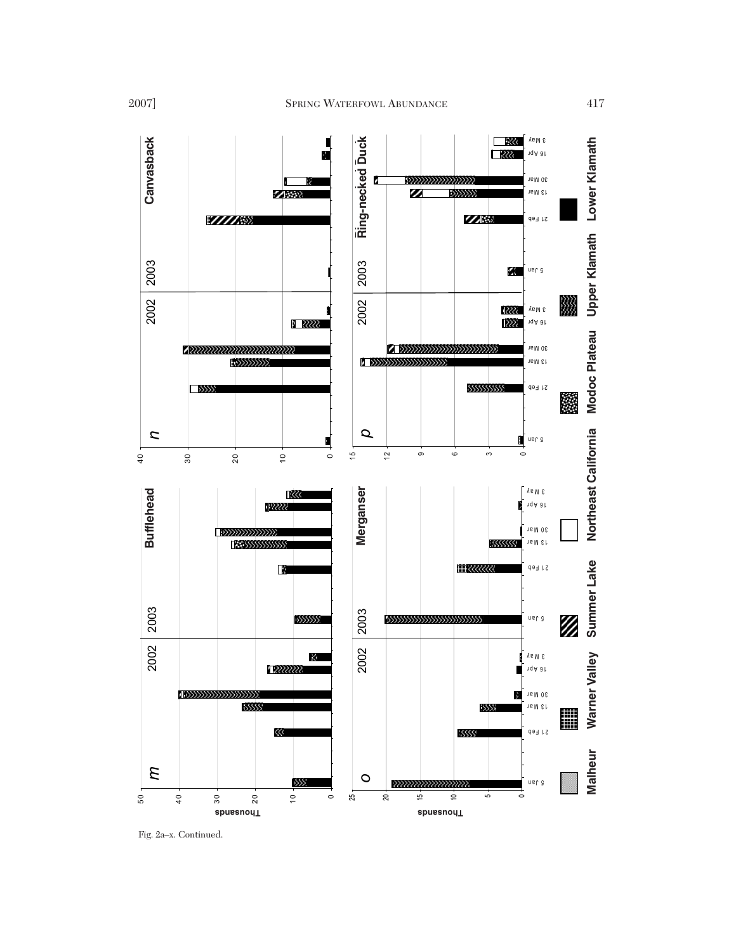

Fig. 2a–x. Continued.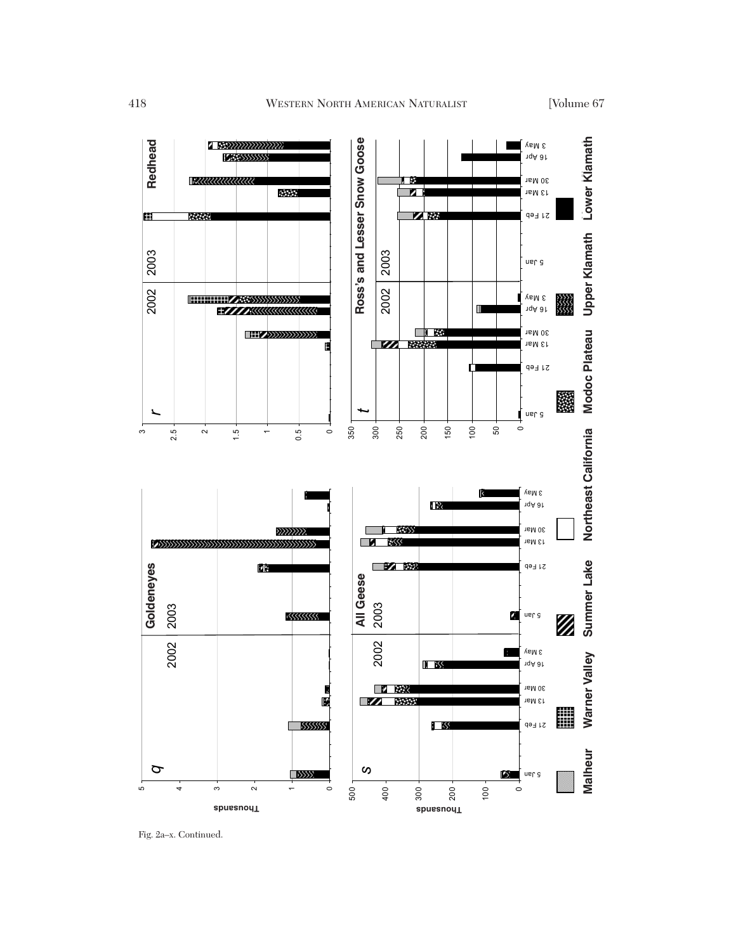

Fig. 2a–x. Continued.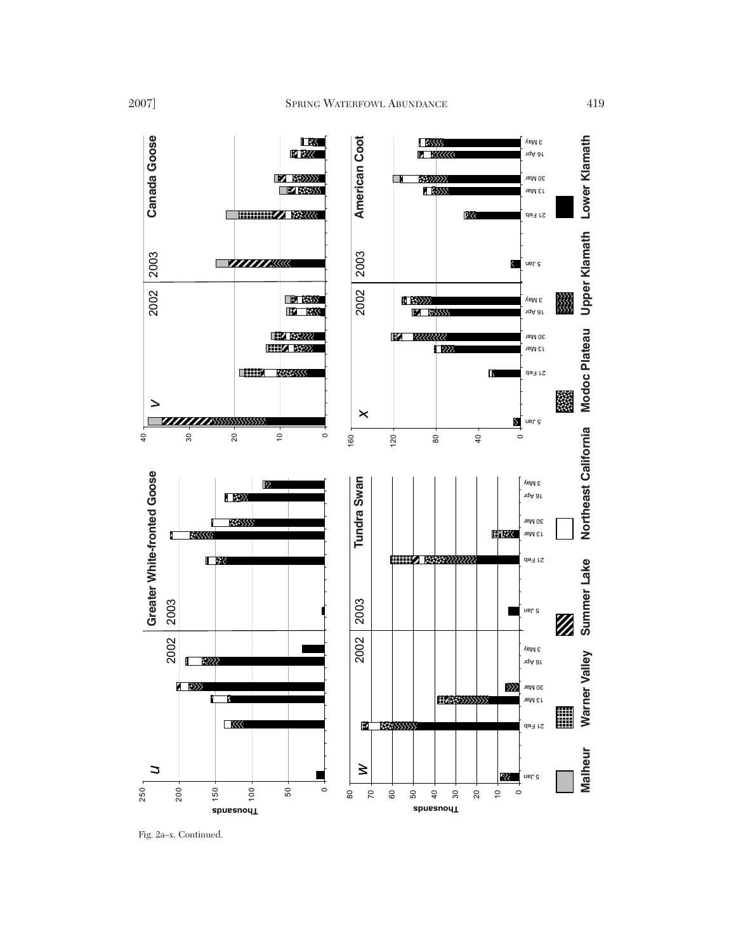

Fig. 2a-x. Continued.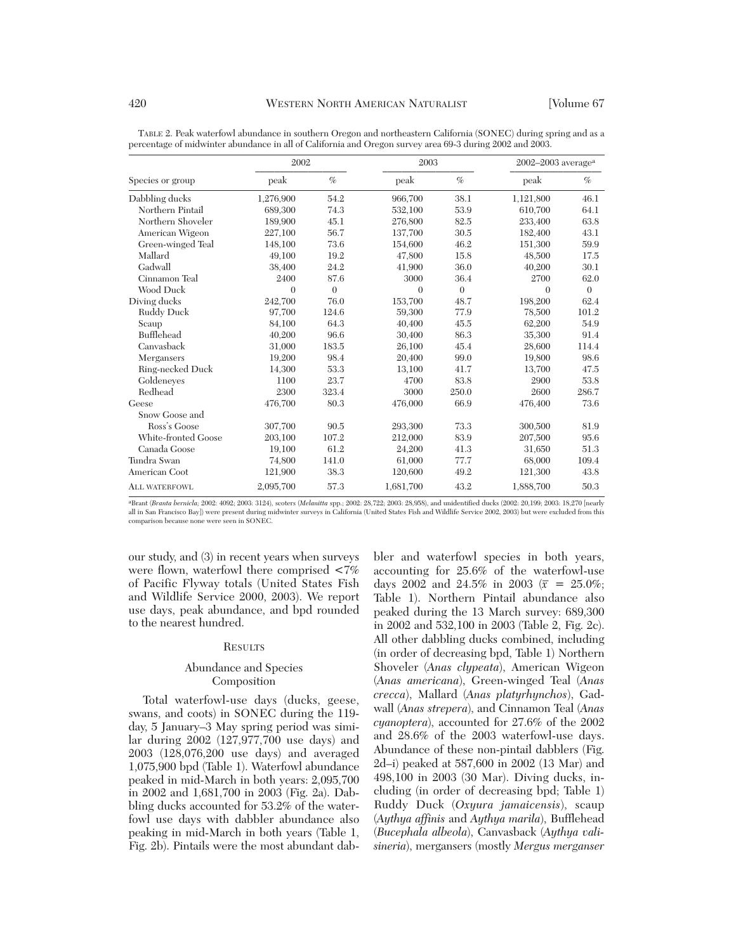|                      | 2002      |          | 2003         |          | $2002 - 2003$ average <sup>a</sup> |          |
|----------------------|-----------|----------|--------------|----------|------------------------------------|----------|
| Species or group     | peak      | $\%$     | peak         | $\%$     | peak                               | $\%$     |
| Dabbling ducks       | 1,276,900 | 54.2     | 966,700      | 38.1     | 1,121,800                          | 46.1     |
| Northern Pintail     | 689,300   | 74.3     | 532,100      | 53.9     | 610,700                            | 64.1     |
| Northern Shoveler    | 189,900   | 45.1     | 276,800      | 82.5     | 233,400                            | 63.8     |
| American Wigeon      | 227,100   | 56.7     | 137,700      | 30.5     | 182,400                            | 43.1     |
| Green-winged Teal    | 148,100   | 73.6     | 154,600      | 46.2     | 151,300                            | 59.9     |
| Mallard              | 49,100    | 19.2     | 47,800       | 15.8     | 48,500                             | 17.5     |
| Gadwall              | 38,400    | 24.2     | 41,900       | 36.0     | 40,200                             | 30.1     |
| Cinnamon Teal        | 2400      | 87.6     | 3000         | 36.4     | 2700                               | 62.0     |
| Wood Duck            | $\theta$  | $\theta$ | $\mathbf{0}$ | $\theta$ | $\theta$                           | $\theta$ |
| Diving ducks         | 242,700   | 76.0     | 153,700      | 48.7     | 198,200                            | 62.4     |
| <b>Ruddy Duck</b>    | 97,700    | 124.6    | 59,300       | 77.9     | 78,500                             | 101.2    |
| Scaup                | 84,100    | 64.3     | 40,400       | 45.5     | 62,200                             | 54.9     |
| Bufflehead           | 40,200    | 96.6     | 30,400       | 86.3     | 35,300                             | 91.4     |
| Canvasback           | 31,000    | 183.5    | 26,100       | 45.4     | 28,600                             | 114.4    |
| Mergansers           | 19,200    | 98.4     | 20,400       | 99.0     | 19,800                             | 98.6     |
| Ring-necked Duck     | 14,300    | 53.3     | 13,100       | 41.7     | 13,700                             | 47.5     |
| Goldeneves           | 1100      | 23.7     | 4700         | 83.8     | 2900                               | 53.8     |
| Redhead              | 2300      | 323.4    | 3000         | 250.0    | 2600                               | 286.7    |
| Geese                | 476,700   | 80.3     | 476,000      | 66.9     | 476,400                            | 73.6     |
| Snow Goose and       |           |          |              |          |                                    |          |
| Ross's Goose         | 307,700   | 90.5     | 293,300      | 73.3     | 300,500                            | 81.9     |
| White-fronted Goose  | 203,100   | 107.2    | 212,000      | 83.9     | 207,500                            | 95.6     |
| Canada Goose         | 19,100    | 61.2     | 24,200       | 41.3     | 31,650                             | 51.3     |
| Tundra Swan          | 74,800    | 141.0    | 61,000       | 77.7     | 68,000                             | 109.4    |
| American Coot        | 121,900   | 38.3     | 120,600      | 49.2     | 121,300                            | 43.8     |
| <b>ALL WATERFOWL</b> | 2.095.700 | 57.3     | 1.681.700    | 43.2     | 1.888.700                          | 50.3     |

TABLE 2. Peak waterfowl abundance in southern Oregon and northeastern California (SONEC) during spring and as a percentage of midwinter abundance in all of California and Oregon survey area 69-3 during 2002 and 2003.

aBrant (*Branta bernicla;* 2002: 4092; 2003: 3124), scoters (*Melanitta* spp.; 2002: 28,722; 2003: 28,958), and unidentified ducks (2002: 20,199; 2003: 18,270 [nearly all in San Francisco Bay]) were present during midwinter surveys in California (United States Fish and Wildlife Service 2002, 2003) but were excluded from this comparison because none were seen in SONEC.

our study, and (3) in recent years when surveys were flown, waterfowl there comprised <7% of Pacific Flyway totals (United States Fish and Wildlife Service 2000, 2003). We report use days, peak abundance, and bpd rounded to the nearest hundred.

# **RESULTS**

# Abundance and Species Composition

Total waterfowl-use days (ducks, geese, swans, and coots) in SONEC during the 119 day, 5 January–3 May spring period was similar during 2002 (127,977,700 use days) and 2003 (128,076,200 use days) and averaged 1,075,900 bpd (Table 1). Waterfowl abundance peaked in mid-March in both years: 2,095,700 in 2002 and 1,681,700 in 2003 (Fig. 2a). Dabbling ducks accounted for 53.2% of the waterfowl use days with dabbler abundance also peaking in mid-March in both years (Table 1, Fig. 2b). Pintails were the most abundant dabbler and waterfowl species in both years, accounting for 25.6% of the waterfowl-use days 2002 and 24.5% in 2003 ( $\bar{x} = 25.0\%$ ) Table 1). Northern Pintail abundance also peaked during the 13 March survey: 689,300 in 2002 and 532,100 in 2003 (Table 2, Fig. 2c). All other dabbling ducks combined, including (in order of decreasing bpd, Table 1) Northern Shoveler (*Anas clypeata*), American Wigeon (*Anas americana*), Green-winged Teal (*Anas crecca*), Mallard (*Anas platyrhynchos*), Gadwall (*Anas strepera*), and Cinnamon Teal (*Anas cyanoptera*), accounted for 27.6% of the 2002 and 28.6% of the 2003 waterfowl-use days. Abundance of these non-pintail dabblers (Fig. 2d–i) peaked at 587,600 in 2002 (13 Mar) and 498,100 in 2003 (30 Mar). Diving ducks, including (in order of decreasing bpd; Table 1) Ruddy Duck (*Oxyura jamaicensis*), scaup (*Aythya affinis* and *Aythya marila*), Bufflehead (*Bucephala albeola*), Canvasback (*Aythya valisineria*), mergansers (mostly *Mergus merganser*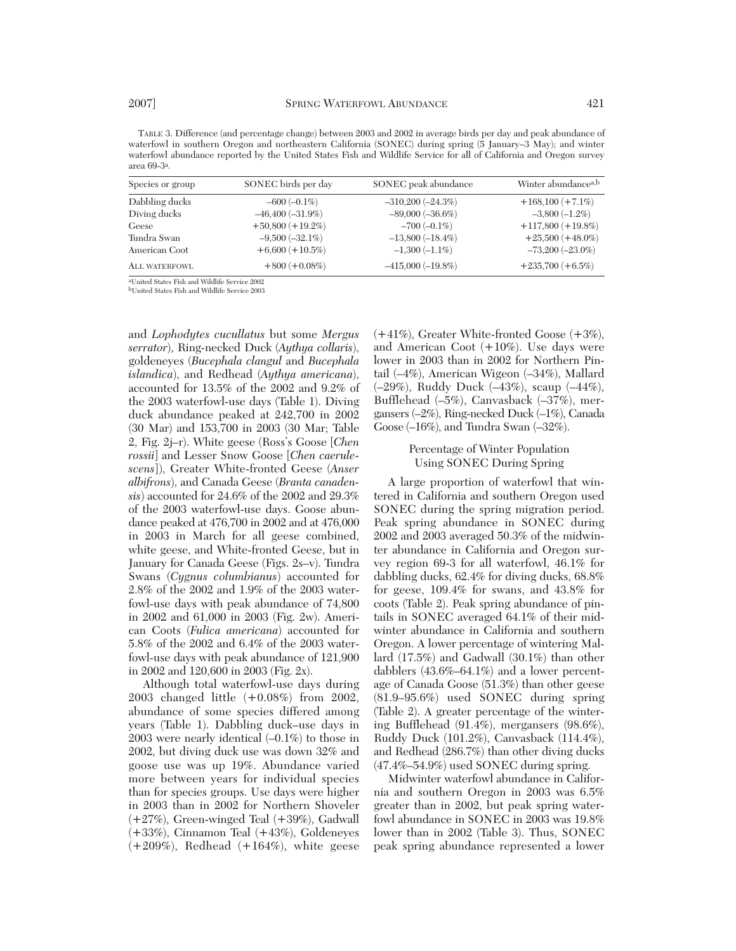TABLE 3. Difference (and percentage change) between 2003 and 2002 in average birds per day and peak abundance of waterfowl in southern Oregon and northeastern California (SONEC) during spring (5 January–3 May); and winter waterfowl abundance reported by the United States Fish and Wildlife Service for all of California and Oregon survey area 69-3a.

| Species or group     | SONEC birds per day   | SONEC peak abundance   | Winter abundance <sup>a,b</sup> |
|----------------------|-----------------------|------------------------|---------------------------------|
| Dabbling ducks       | $-600 (-0.1\%)$       | $-310,200$ $(-24.3\%)$ | $+168,100 (+7.1\%)$             |
| Diving ducks         | $-46,400$ $(-31.9\%)$ | $-89,000 (-36.6\%)$    | $-3,800(-1.2\%)$                |
| Geese                | $+50,800 (+19.2\%)$   | $-700(-0.1\%)$         | $+117,800 (+19.8\%)$            |
| Tundra Swan          | $-9,500(-32.1\%)$     | $-13,800(-18.4\%)$     | $+25,500 (+48.0\%)$             |
| American Coot        | $+6,600 (+10.5%)$     | $-1,300(-1.1\%)$       | $-73,200(-23.0\%)$              |
| <b>ALL WATERFOWL</b> | $+800 (+0.08\%)$      | $-415,000$ $(-19.8\%)$ | $+235,700 (+6.5%)$              |

aUnited States Fish and Wildlife Service 2002 bUnited States Fish and Wildlife Service 2003

and *Lophodytes cucullatus* but some *Mergus serrator*), Ring-necked Duck (*Aythya collaris*), goldeneyes (*Bucephala clangul* and *Bucephala islandica*), and Redhead (*Aythya americana*), accounted for 13.5% of the 2002 and 9.2% of the 2003 waterfowl-use days (Table 1). Diving duck abundance peaked at 242,700 in 2002 (30 Mar) and 153,700 in 2003 (30 Mar; Table 2, Fig. 2j–r). White geese (Ross's Goose [*Chen rossii*] and Lesser Snow Goose [*Chen caerulescens*]), Greater White-fronted Geese (*Anser albifrons*), and Canada Geese (*Branta canadensis*) accounted for 24.6% of the 2002 and 29.3% of the 2003 waterfowl-use days. Goose abundance peaked at 476,700 in 2002 and at 476,000 in 2003 in March for all geese combined, white geese, and White-fronted Geese, but in January for Canada Geese (Figs. 2s–v). Tundra Swans (*Cygnus columbianus*) accounted for 2.8% of the 2002 and 1.9% of the 2003 waterfowl-use days with peak abundance of 74,800 in 2002 and 61,000 in 2003 (Fig. 2w). American Coots (*Fulica americana*) accounted for 5.8% of the 2002 and 6.4% of the 2003 waterfowl-use days with peak abundance of 121,900 in 2002 and 120,600 in 2003 (Fig. 2x).

Although total waterfowl-use days during 2003 changed little (+0.08%) from 2002, abundance of some species differed among years (Table 1). Dabbling duck–use days in 2003 were nearly identical (–0.1%) to those in 2002, but diving duck use was down 32% and goose use was up 19%. Abundance varied more between years for individual species than for species groups. Use days were higher in 2003 than in 2002 for Northern Shoveler (+27%), Green-winged Teal (+39%), Gadwall (+33%), Cinnamon Teal (+43%), Goldeneyes  $(+209\%)$ , Redhead  $(+164\%)$ , white geese

(+41%), Greater White-fronted Goose (+3%), and American Coot (+10%). Use days were lower in 2003 than in 2002 for Northern Pintail (–4%), American Wigeon (–34%), Mallard (–29%), Ruddy Duck (–43%), scaup (–44%), Bufflehead (–5%), Canvasback (–37%), mergansers (–2%), Ring-necked Duck (–1%), Canada Goose (–16%), and Tundra Swan (–32%).

# Percentage of Winter Population Using SONEC During Spring

A large proportion of waterfowl that wintered in California and southern Oregon used SONEC during the spring migration period. Peak spring abundance in SONEC during 2002 and 2003 averaged 50.3% of the midwinter abundance in California and Oregon survey region 69-3 for all waterfowl, 46.1% for dabbling ducks, 62.4% for diving ducks, 68.8% for geese, 109.4% for swans, and 43.8% for coots (Table 2). Peak spring abundance of pintails in SONEC averaged 64.1% of their midwinter abundance in California and southern Oregon. A lower percentage of wintering Mallard (17.5%) and Gadwall (30.1%) than other dabblers (43.6%–64.1%) and a lower percentage of Canada Goose (51.3%) than other geese (81.9–95.6%) used SONEC during spring (Table 2). A greater percentage of the wintering Bufflehead (91.4%), mergansers (98.6%), Ruddy Duck (101.2%), Canvasback (114.4%), and Redhead (286.7%) than other diving ducks (47.4%–54.9%) used SONEC during spring.

Midwinter waterfowl abundance in California and southern Oregon in 2003 was 6.5% greater than in 2002, but peak spring waterfowl abundance in SONEC in 2003 was 19.8% lower than in 2002 (Table 3). Thus, SONEC peak spring abundance represented a lower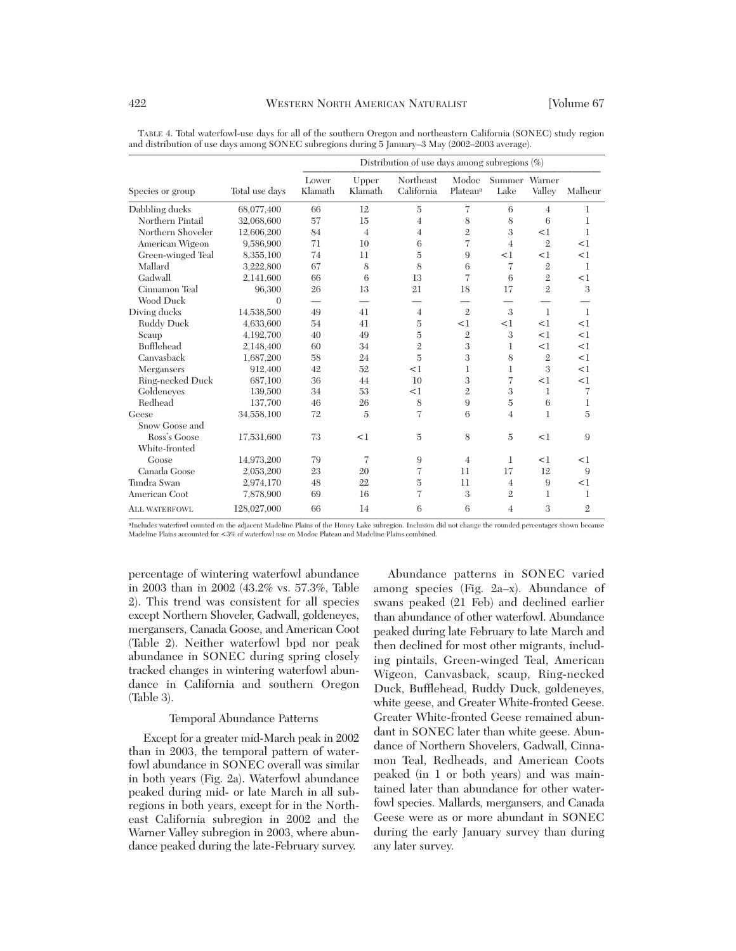|                      |                | Distribution of use days among subregions $(\%)$ |                  |                         |                               |                       |                |                |
|----------------------|----------------|--------------------------------------------------|------------------|-------------------------|-------------------------------|-----------------------|----------------|----------------|
| Species or group     | Total use days | Lower<br>Klamath                                 | Upper<br>Klamath | Northeast<br>California | Modoc<br>Plateau <sup>a</sup> | Summer Warner<br>Lake | Valley         | Malheur        |
| Dabbling ducks       | 68,077,400     | 66                                               | 12               | $\overline{5}$          | 7                             | 6                     | $\overline{4}$ | 1              |
| Northern Pintail     | 32,068,600     | 57                                               | 15               | $\overline{4}$          | 8                             | 8                     | 6              | $\mathbf{1}$   |
| Northern Shoveler    | 12,606,200     | 84                                               | $\overline{4}$   | 4                       | $\overline{2}$                | 3                     | <1             | 1              |
| American Wigeon      | 9,586,900      | 71                                               | 10               | 6                       | $\overline{7}$                | $\overline{4}$        | $\mathbf{2}$   | <1             |
| Green-winged Teal    | 8,355,100      | 74                                               | 11               | $\overline{5}$          | 9                             | <1                    | <1             | <1             |
| Mallard              | 3,222,800      | 67                                               | 8                | 8                       | 6                             | 7                     | $\overline{2}$ | 1              |
| Gadwall              | 2,141,600      | 66                                               | 6                | 13                      | $\overline{7}$                | 6                     | $\overline{2}$ | <1             |
| Cinnamon Teal        | 96,300         | 26                                               | 13               | 21                      | 18                            | 17                    | $\mathfrak{2}$ | 3              |
| <b>Wood Duck</b>     | $\theta$       |                                                  |                  |                         |                               |                       |                |                |
| Diving ducks         | 14,538,500     | 49                                               | 41               | $\overline{4}$          | $\overline{2}$                | 3                     | 1              | 1              |
| Ruddy Duck           | 4,633,600      | 54                                               | 41               | $\overline{5}$          | <1                            | <1                    | <1             | <1             |
| Scaup                | 4,192,700      | 40                                               | 49               | $\overline{5}$          | $\overline{2}$                | 3                     | <1             | <1             |
| Bufflehead           | 2,148,400      | 60                                               | 34               | $\overline{2}$          | 3                             | 1                     | <1             | <1             |
| Canvasback           | 1,687,200      | 58                                               | 24               | $\overline{5}$          | 3                             | 8                     | $\mathbf{2}$   | $<$ 1          |
| Mergansers           | 912,400        | 42                                               | 52               | <1                      | 1                             | 1                     | 3              | <1             |
| Ring-necked Duck     | 687,100        | 36                                               | 44               | 10                      | 3                             | $\overline{7}$        | <1             | <1             |
| Goldeneves           | 139,500        | 34                                               | 53               | <1                      | $\overline{2}$                | 3                     | $\mathbf{1}$   | 7              |
| Redhead              | 137,700        | 46                                               | 26               | 8                       | 9                             | $\overline{5}$        | 6              | 1              |
| Geese                | 34,558,100     | 72                                               | $\overline{5}$   | $\overline{7}$          | 6                             | $\overline{4}$        | $\mathbf{1}$   | $\overline{5}$ |
| Snow Goose and       |                |                                                  |                  |                         |                               |                       |                |                |
| Ross's Goose         | 17,531,600     | 73                                               | <1               | 5                       | 8                             | $\overline{5}$        | <1             | 9              |
| White-fronted        |                |                                                  |                  |                         |                               |                       |                |                |
| Goose                | 14,973,200     | 79                                               | 7                | 9                       | $\overline{4}$                | 1                     | <1             | <1             |
| Canada Goose         | 2,053,200      | 23                                               | 20               | 7                       | 11                            | 17                    | 12             | 9              |
| Tundra Swan          | 2,974,170      | 48                                               | 22               | 5                       | 11                            | $\overline{4}$        | 9              | <1             |
| American Coot        | 7,878,900      | 69                                               | 16               | 7                       | 3                             | $\mathbf{2}$          | 1              | 1              |
| <b>ALL WATERFOWL</b> | 128,027,000    | 66                                               | 14               | 6                       | 6                             | $\overline{4}$        | 3              | $\mathbf{2}$   |

TABLE 4. Total waterfowl-use days for all of the southern Oregon and northeastern California (SONEC) study region and distribution of use days among SONEC subregions during 5 January–3 May (2002–2003 average).

<sup>a</sup>Includes waterfowl counted on the adjacent Madeline Plains of the Honey Lake subregion. Inclusion did not change the rounded percentages shown because Madeline Plains accounted for <3% of waterfowl use on Modoc Plateau and Madeline Plains combined.

percentage of wintering waterfowl abundance in 2003 than in 2002 (43.2% vs. 57.3%, Table 2). This trend was consistent for all species except Northern Shoveler, Gadwall, goldeneyes, mergansers, Canada Goose, and American Coot (Table 2). Neither waterfowl bpd nor peak abundance in SONEC during spring closely tracked changes in wintering waterfowl abundance in California and southern Oregon (Table 3).

# Temporal Abundance Patterns

Except for a greater mid-March peak in 2002 than in 2003, the temporal pattern of waterfowl abundance in SONEC overall was similar in both years (Fig. 2a). Waterfowl abundance peaked during mid- or late March in all subregions in both years, except for in the Northeast California subregion in 2002 and the Warner Valley subregion in 2003, where abundance peaked during the late-February survey.

Abundance patterns in SONEC varied among species (Fig. 2a–x). Abundance of swans peaked (21 Feb) and declined earlier than abundance of other waterfowl. Abundance peaked during late February to late March and then declined for most other migrants, including pintails, Green-winged Teal, American Wigeon, Canvasback, scaup, Ring-necked Duck, Bufflehead, Ruddy Duck, goldeneyes, white geese, and Greater White-fronted Geese. Greater White-fronted Geese remained abundant in SONEC later than white geese. Abundance of Northern Shovelers, Gadwall, Cinnamon Teal, Redheads, and American Coots peaked (in 1 or both years) and was maintained later than abundance for other waterfowl species. Mallards, mergansers, and Canada Geese were as or more abundant in SONEC during the early January survey than during any later survey.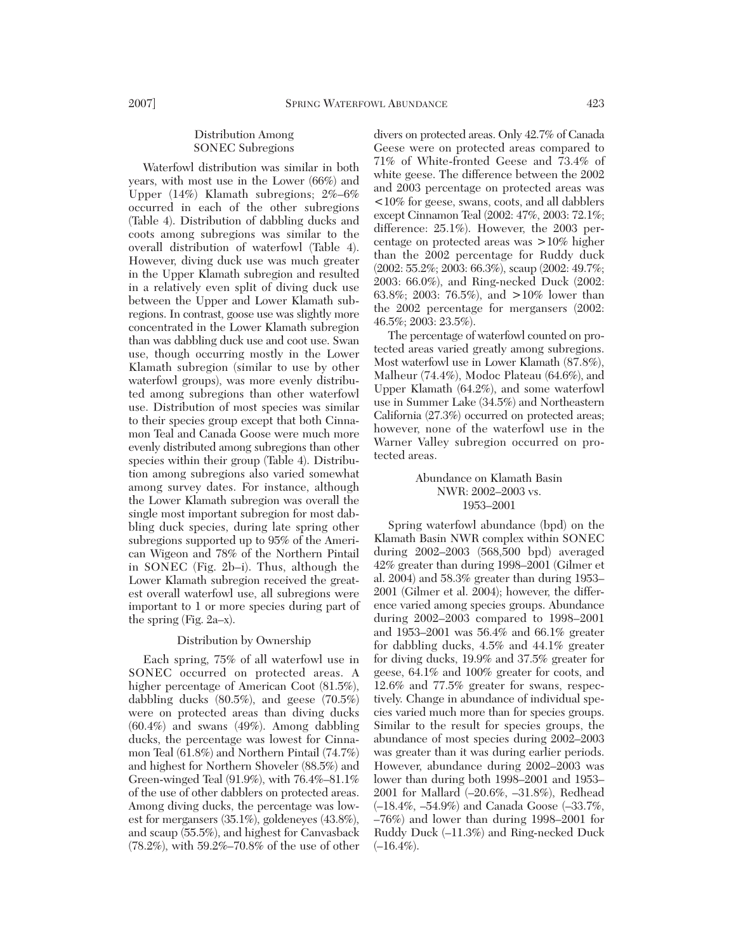# Distribution Among SONEC Subregions

Waterfowl distribution was similar in both years, with most use in the Lower (66%) and Upper (14%) Klamath subregions; 2%–6% occurred in each of the other subregions (Table 4). Distribution of dabbling ducks and coots among subregions was similar to the overall distribution of waterfowl (Table 4). However, diving duck use was much greater in the Upper Klamath subregion and resulted in a relatively even split of diving duck use between the Upper and Lower Klamath subregions. In contrast, goose use was slightly more concentrated in the Lower Klamath subregion than was dabbling duck use and coot use. Swan use, though occurring mostly in the Lower Klamath subregion (similar to use by other waterfowl groups), was more evenly distributed among subregions than other waterfowl use. Distribution of most species was similar to their species group except that both Cinnamon Teal and Canada Goose were much more evenly distributed among subregions than other species within their group (Table 4). Distribution among subregions also varied somewhat among survey dates. For instance, although the Lower Klamath subregion was overall the single most important subregion for most dabbling duck species, during late spring other subregions supported up to 95% of the American Wigeon and 78% of the Northern Pintail in SONEC (Fig. 2b–i). Thus, although the Lower Klamath subregion received the greatest overall waterfowl use, all subregions were important to 1 or more species during part of the spring (Fig. 2a–x).

### Distribution by Ownership

Each spring, 75% of all waterfowl use in SONEC occurred on protected areas. A higher percentage of American Coot  $(81.5\%)$ , dabbling ducks (80.5%), and geese (70.5%) were on protected areas than diving ducks (60.4%) and swans (49%). Among dabbling ducks, the percentage was lowest for Cinnamon Teal (61.8%) and Northern Pintail (74.7%) and highest for Northern Shoveler (88.5%) and Green-winged Teal (91.9%), with 76.4%–81.1% of the use of other dabblers on protected areas. Among diving ducks, the percentage was lowest for mergansers (35.1%), goldeneyes (43.8%), and scaup (55.5%), and highest for Canvasback (78.2%), with 59.2%–70.8% of the use of other

divers on protected areas. Only 42.7% of Canada Geese were on protected areas compared to 71% of White-fronted Geese and 73.4% of white geese. The difference between the 2002 and 2003 percentage on protected areas was <10% for geese, swans, coots, and all dabblers except Cinnamon Teal (2002: 47%, 2003: 72.1%; difference: 25.1%). However, the 2003 percentage on protected areas was >10% higher than the 2002 percentage for Ruddy duck (2002: 55.2%; 2003: 66.3%), scaup (2002: 49.7%; 2003: 66.0%), and Ring-necked Duck (2002: 63.8%; 2003: 76.5%), and >10% lower than the 2002 percentage for mergansers (2002: 46.5%; 2003: 23.5%).

The percentage of waterfowl counted on protected areas varied greatly among subregions. Most waterfowl use in Lower Klamath (87.8%), Malheur (74.4%), Modoc Plateau (64.6%), and Upper Klamath (64.2%), and some waterfowl use in Summer Lake (34.5%) and Northeastern California (27.3%) occurred on protected areas; however, none of the waterfowl use in the Warner Valley subregion occurred on protected areas.

# Abundance on Klamath Basin NWR: 2002–2003 vs. 1953–2001

Spring waterfowl abundance (bpd) on the Klamath Basin NWR complex within SONEC during 2002–2003 (568,500 bpd) averaged 42% greater than during 1998–2001 (Gilmer et al. 2004) and 58.3% greater than during 1953– 2001 (Gilmer et al. 2004); however, the difference varied among species groups. Abundance during 2002–2003 compared to 1998–2001 and 1953–2001 was 56.4% and 66.1% greater for dabbling ducks, 4.5% and 44.1% greater for diving ducks, 19.9% and 37.5% greater for geese, 64.1% and 100% greater for coots, and 12.6% and 77.5% greater for swans, respectively. Change in abundance of individual species varied much more than for species groups. Similar to the result for species groups, the abundance of most species during 2002–2003 was greater than it was during earlier periods. However, abundance during 2002–2003 was lower than during both 1998–2001 and 1953– 2001 for Mallard (–20.6%, –31.8%), Redhead (–18.4%, –54.9%) and Canada Goose (–33.7%, –76%) and lower than during 1998–2001 for Ruddy Duck (–11.3%) and Ring-necked Duck  $(-16.4\%).$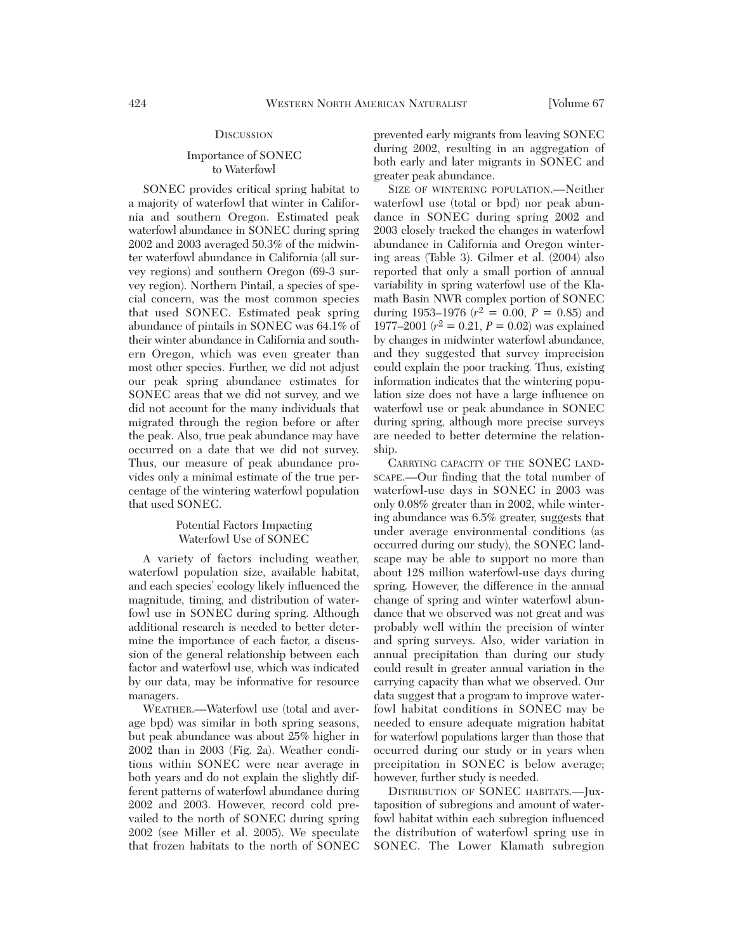#### **DISCUSSION**

# Importance of SONEC to Waterfowl

SONEC provides critical spring habitat to a majority of waterfowl that winter in California and southern Oregon. Estimated peak waterfowl abundance in SONEC during spring 2002 and 2003 averaged 50.3% of the midwinter waterfowl abundance in California (all survey regions) and southern Oregon (69-3 survey region). Northern Pintail, a species of special concern, was the most common species that used SONEC. Estimated peak spring abundance of pintails in SONEC was 64.1% of their winter abundance in California and southern Oregon, which was even greater than most other species. Further, we did not adjust our peak spring abundance estimates for SONEC areas that we did not survey, and we did not account for the many individuals that migrated through the region before or after the peak. Also, true peak abundance may have occurred on a date that we did not survey. Thus, our measure of peak abundance provides only a minimal estimate of the true percentage of the wintering waterfowl population that used SONEC.

# Potential Factors Impacting Waterfowl Use of SONEC

A variety of factors including weather, waterfowl population size, available habitat, and each species' ecology likely influenced the magnitude, timing, and distribution of waterfowl use in SONEC during spring. Although additional research is needed to better determine the importance of each factor, a discussion of the general relationship between each factor and waterfowl use, which was indicated by our data, may be informative for resource managers.

WEATHER.—Waterfowl use (total and average bpd) was similar in both spring seasons, but peak abundance was about 25% higher in 2002 than in 2003 (Fig. 2a). Weather conditions within SONEC were near average in both years and do not explain the slightly different patterns of waterfowl abundance during 2002 and 2003. However, record cold prevailed to the north of SONEC during spring 2002 (see Miller et al. 2005). We speculate that frozen habitats to the north of SONEC

prevented early migrants from leaving SONEC during 2002, resulting in an aggregation of both early and later migrants in SONEC and greater peak abundance.

SIZE OF WINTERING POPULATION.—Neither waterfowl use (total or bpd) nor peak abundance in SONEC during spring 2002 and 2003 closely tracked the changes in waterfowl abundance in California and Oregon wintering areas (Table 3). Gilmer et al. (2004) also reported that only a small portion of annual variability in spring waterfowl use of the Klamath Basin NWR complex portion of SONEC during 1953–1976 ( $r^2 = 0.00$ ,  $P = 0.85$ ) and 1977–2001 ( $r^2 = 0.21$ ,  $P = 0.02$ ) was explained by changes in midwinter waterfowl abundance, and they suggested that survey imprecision could explain the poor tracking. Thus, existing information indicates that the wintering population size does not have a large influence on waterfowl use or peak abundance in SONEC during spring, although more precise surveys are needed to better determine the relationship.

CARRYING CAPACITY OF THE SONEC LAND-SCAPE.—Our finding that the total number of waterfowl-use days in SONEC in 2003 was only 0.08% greater than in 2002, while wintering abundance was 6.5% greater, suggests that under average environmental conditions (as occurred during our study), the SONEC landscape may be able to support no more than about 128 million waterfowl-use days during spring. However, the difference in the annual change of spring and winter waterfowl abundance that we observed was not great and was probably well within the precision of winter and spring surveys. Also, wider variation in annual precipitation than during our study could result in greater annual variation in the carrying capacity than what we observed. Our data suggest that a program to improve waterfowl habitat conditions in SONEC may be needed to ensure adequate migration habitat for waterfowl populations larger than those that occurred during our study or in years when precipitation in SONEC is below average; however, further study is needed.

DISTRIBUTION OF SONEC HABITATS.—Juxtaposition of subregions and amount of waterfowl habitat within each subregion influenced the distribution of waterfowl spring use in SONEC. The Lower Klamath subregion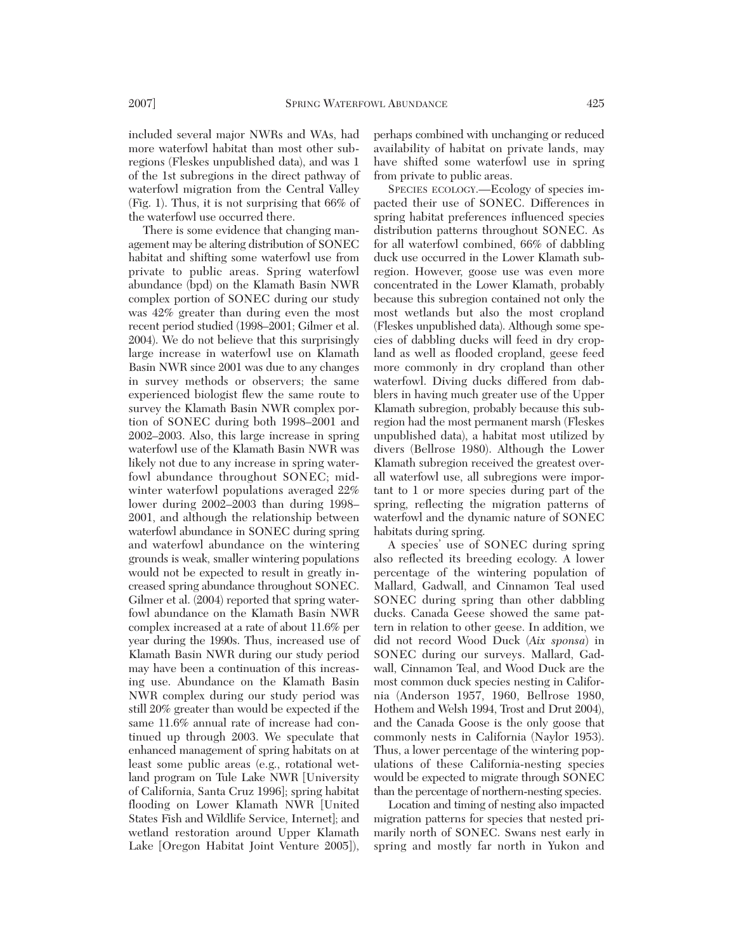included several major NWRs and WAs, had more waterfowl habitat than most other subregions (Fleskes unpublished data), and was 1 of the 1st subregions in the direct pathway of waterfowl migration from the Central Valley (Fig. 1). Thus, it is not surprising that 66% of the waterfowl use occurred there.

There is some evidence that changing management may be altering distribution of SONEC habitat and shifting some waterfowl use from private to public areas. Spring waterfowl abundance (bpd) on the Klamath Basin NWR complex portion of SONEC during our study was 42% greater than during even the most recent period studied (1998–2001; Gilmer et al. 2004). We do not believe that this surprisingly large increase in waterfowl use on Klamath Basin NWR since 2001 was due to any changes in survey methods or observers; the same experienced biologist flew the same route to survey the Klamath Basin NWR complex portion of SONEC during both 1998–2001 and 2002–2003. Also, this large increase in spring waterfowl use of the Klamath Basin NWR was likely not due to any increase in spring waterfowl abundance throughout SONEC; midwinter waterfowl populations averaged 22% lower during 2002–2003 than during 1998– 2001, and although the relationship between waterfowl abundance in SONEC during spring and waterfowl abundance on the wintering grounds is weak, smaller wintering populations would not be expected to result in greatly increased spring abundance throughout SONEC. Gilmer et al. (2004) reported that spring waterfowl abundance on the Klamath Basin NWR complex increased at a rate of about 11.6% per year during the 1990s. Thus, increased use of Klamath Basin NWR during our study period may have been a continuation of this increasing use. Abundance on the Klamath Basin NWR complex during our study period was still 20% greater than would be expected if the same 11.6% annual rate of increase had continued up through 2003. We speculate that enhanced management of spring habitats on at least some public areas (e.g., rotational wetland program on Tule Lake NWR [University of California, Santa Cruz 1996]; spring habitat flooding on Lower Klamath NWR [United States Fish and Wildlife Service, Internet]; and wetland restoration around Upper Klamath Lake [Oregon Habitat Joint Venture 2005]),

perhaps combined with unchanging or reduced availability of habitat on private lands, may have shifted some waterfowl use in spring from private to public areas.

SPECIES ECOLOGY.—Ecology of species impacted their use of SONEC. Differences in spring habitat preferences influenced species distribution patterns throughout SONEC. As for all waterfowl combined, 66% of dabbling duck use occurred in the Lower Klamath subregion. However, goose use was even more concentrated in the Lower Klamath, probably because this subregion contained not only the most wetlands but also the most cropland (Fleskes unpublished data). Although some species of dabbling ducks will feed in dry cropland as well as flooded cropland, geese feed more commonly in dry cropland than other waterfowl. Diving ducks differed from dabblers in having much greater use of the Upper Klamath subregion, probably because this subregion had the most permanent marsh (Fleskes unpublished data), a habitat most utilized by divers (Bellrose 1980). Although the Lower Klamath subregion received the greatest overall waterfowl use, all subregions were important to 1 or more species during part of the spring, reflecting the migration patterns of waterfowl and the dynamic nature of SONEC habitats during spring.

A species' use of SONEC during spring also reflected its breeding ecology. A lower percentage of the wintering population of Mallard, Gadwall, and Cinnamon Teal used SONEC during spring than other dabbling ducks. Canada Geese showed the same pattern in relation to other geese. In addition, we did not record Wood Duck (*Aix sponsa*) in SONEC during our surveys. Mallard, Gadwall, Cinnamon Teal, and Wood Duck are the most common duck species nesting in California (Anderson 1957, 1960, Bellrose 1980, Hothem and Welsh 1994, Trost and Drut 2004), and the Canada Goose is the only goose that commonly nests in California (Naylor 1953). Thus, a lower percentage of the wintering populations of these California-nesting species would be expected to migrate through SONEC than the percentage of northern-nesting species.

Location and timing of nesting also impacted migration patterns for species that nested primarily north of SONEC. Swans nest early in spring and mostly far north in Yukon and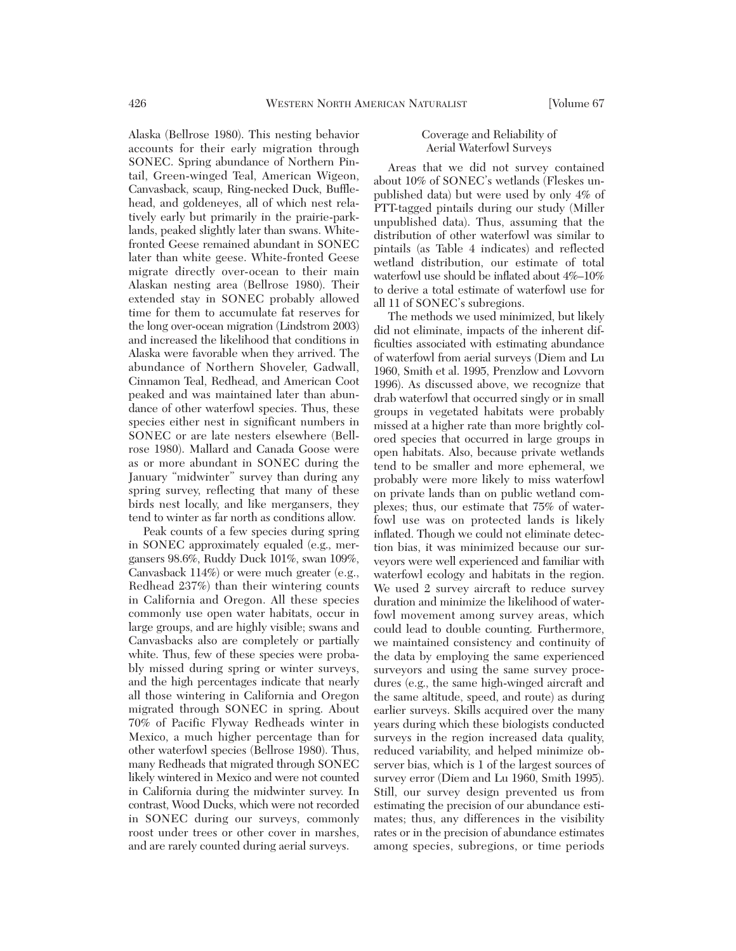Alaska (Bellrose 1980). This nesting behavior accounts for their early migration through SONEC. Spring abundance of Northern Pintail, Green-winged Teal, American Wigeon, Canvasback, scaup, Ring-necked Duck, Bufflehead, and goldeneyes, all of which nest relatively early but primarily in the prairie-parklands, peaked slightly later than swans. Whitefronted Geese remained abundant in SONEC later than white geese. White-fronted Geese migrate directly over-ocean to their main Alaskan nesting area (Bellrose 1980). Their extended stay in SONEC probably allowed time for them to accumulate fat reserves for the long over-ocean migration (Lindstrom 2003) and increased the likelihood that conditions in Alaska were favorable when they arrived. The abundance of Northern Shoveler, Gadwall, Cinnamon Teal, Redhead, and American Coot peaked and was maintained later than abundance of other waterfowl species. Thus, these species either nest in significant numbers in SONEC or are late nesters elsewhere (Bellrose 1980). Mallard and Canada Goose were as or more abundant in SONEC during the January "midwinter" survey than during any spring survey, reflecting that many of these birds nest locally, and like mergansers, they tend to winter as far north as conditions allow.

Peak counts of a few species during spring in SONEC approximately equaled (e.g., mergansers 98.6%, Ruddy Duck 101%, swan 109%, Canvasback 114%) or were much greater (e.g., Redhead 237%) than their wintering counts in California and Oregon. All these species commonly use open water habitats, occur in large groups, and are highly visible; swans and Canvasbacks also are completely or partially white. Thus, few of these species were probably missed during spring or winter surveys, and the high percentages indicate that nearly all those wintering in California and Oregon migrated through SONEC in spring. About 70% of Pacific Flyway Redheads winter in Mexico, a much higher percentage than for other waterfowl species (Bellrose 1980). Thus, many Redheads that migrated through SONEC likely wintered in Mexico and were not counted in California during the midwinter survey. In contrast, Wood Ducks, which were not recorded in SONEC during our surveys, commonly roost under trees or other cover in marshes, and are rarely counted during aerial surveys.

# Coverage and Reliability of Aerial Waterfowl Surveys

Areas that we did not survey contained about 10% of SONEC's wetlands (Fleskes unpublished data) but were used by only 4% of PTT-tagged pintails during our study (Miller unpublished data). Thus, assuming that the distribution of other waterfowl was similar to pintails (as Table 4 indicates) and reflected wetland distribution, our estimate of total waterfowl use should be inflated about 4%–10% to derive a total estimate of waterfowl use for all 11 of SONEC's subregions.

The methods we used minimized, but likely did not eliminate, impacts of the inherent difficulties associated with estimating abundance of waterfowl from aerial surveys (Diem and Lu 1960, Smith et al. 1995, Prenzlow and Lovvorn 1996). As discussed above, we recognize that drab waterfowl that occurred singly or in small groups in vegetated habitats were probably missed at a higher rate than more brightly colored species that occurred in large groups in open habitats. Also, because private wetlands tend to be smaller and more ephemeral, we probably were more likely to miss waterfowl on private lands than on public wetland complexes; thus, our estimate that 75% of waterfowl use was on protected lands is likely inflated. Though we could not eliminate detection bias, it was minimized because our surveyors were well experienced and familiar with waterfowl ecology and habitats in the region. We used 2 survey aircraft to reduce survey duration and minimize the likelihood of waterfowl movement among survey areas, which could lead to double counting. Furthermore, we maintained consistency and continuity of the data by employing the same experienced surveyors and using the same survey procedures (e.g., the same high-winged aircraft and the same altitude, speed, and route) as during earlier surveys. Skills acquired over the many years during which these biologists conducted surveys in the region increased data quality, reduced variability, and helped minimize observer bias, which is 1 of the largest sources of survey error (Diem and Lu 1960, Smith 1995). Still, our survey design prevented us from estimating the precision of our abundance estimates; thus, any differences in the visibility rates or in the precision of abundance estimates among species, subregions, or time periods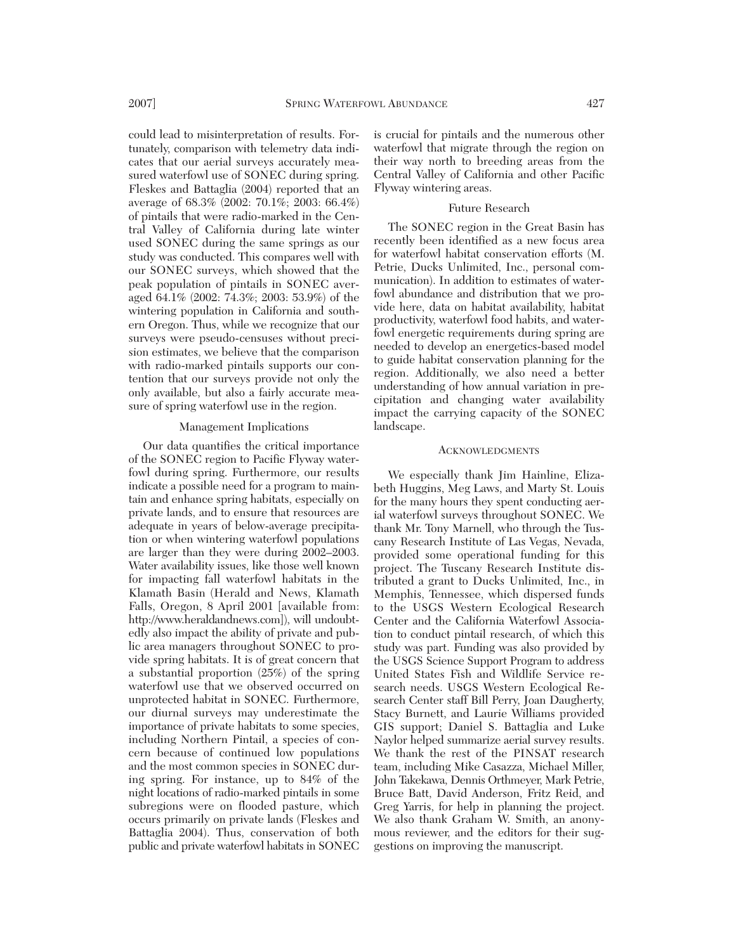could lead to misinterpretation of results. Fortunately, comparison with telemetry data indicates that our aerial surveys accurately measured waterfowl use of SONEC during spring. Fleskes and Battaglia (2004) reported that an average of 68.3% (2002: 70.1%; 2003: 66.4%) of pintails that were radio-marked in the Central Valley of California during late winter used SONEC during the same springs as our study was conducted. This compares well with our SONEC surveys, which showed that the peak population of pintails in SONEC averaged 64.1% (2002: 74.3%; 2003: 53.9%) of the wintering population in California and southern Oregon. Thus, while we recognize that our surveys were pseudo-censuses without precision estimates, we believe that the comparison with radio-marked pintails supports our contention that our surveys provide not only the only available, but also a fairly accurate measure of spring waterfowl use in the region.

#### Management Implications

Our data quantifies the critical importance of the SONEC region to Pacific Flyway waterfowl during spring. Furthermore, our results indicate a possible need for a program to maintain and enhance spring habitats, especially on private lands, and to ensure that resources are adequate in years of below-average precipitation or when wintering waterfowl populations are larger than they were during 2002–2003. Water availability issues, like those well known for impacting fall waterfowl habitats in the Klamath Basin (Herald and News, Klamath Falls, Oregon, 8 April 2001 [available from: http://www.heraldandnews.com]), will undoubtedly also impact the ability of private and public area managers throughout SONEC to provide spring habitats. It is of great concern that a substantial proportion (25%) of the spring waterfowl use that we observed occurred on unprotected habitat in SONEC. Furthermore, our diurnal surveys may underestimate the importance of private habitats to some species, including Northern Pintail, a species of concern because of continued low populations and the most common species in SONEC during spring. For instance, up to 84% of the night locations of radio-marked pintails in some subregions were on flooded pasture, which occurs primarily on private lands (Fleskes and Battaglia 2004). Thus, conservation of both public and private waterfowl habitats in SONEC

is crucial for pintails and the numerous other waterfowl that migrate through the region on their way north to breeding areas from the Central Valley of California and other Pacific Flyway wintering areas.

### Future Research

The SONEC region in the Great Basin has recently been identified as a new focus area for waterfowl habitat conservation efforts (M. Petrie, Ducks Unlimited, Inc., personal communication). In addition to estimates of waterfowl abundance and distribution that we provide here, data on habitat availability, habitat productivity, waterfowl food habits, and waterfowl energetic requirements during spring are needed to develop an energetics-based model to guide habitat conservation planning for the region. Additionally, we also need a better understanding of how annual variation in precipitation and changing water availability impact the carrying capacity of the SONEC landscape.

### **ACKNOWLEDGMENTS**

We especially thank Jim Hainline, Elizabeth Huggins, Meg Laws, and Marty St. Louis for the many hours they spent conducting aerial waterfowl surveys throughout SONEC. We thank Mr. Tony Marnell, who through the Tuscany Research Institute of Las Vegas, Nevada, provided some operational funding for this project. The Tuscany Research Institute distributed a grant to Ducks Unlimited, Inc., in Memphis, Tennessee, which dispersed funds to the USGS Western Ecological Research Center and the California Waterfowl Association to conduct pintail research, of which this study was part. Funding was also provided by the USGS Science Support Program to address United States Fish and Wildlife Service research needs. USGS Western Ecological Research Center staff Bill Perry, Joan Daugherty, Stacy Burnett, and Laurie Williams provided GIS support; Daniel S. Battaglia and Luke Naylor helped summarize aerial survey results. We thank the rest of the PINSAT research team, including Mike Casazza, Michael Miller, John Takekawa, Dennis Orthmeyer, Mark Petrie, Bruce Batt, David Anderson, Fritz Reid, and Greg Yarris, for help in planning the project. We also thank Graham W. Smith, an anonymous reviewer, and the editors for their suggestions on improving the manuscript.